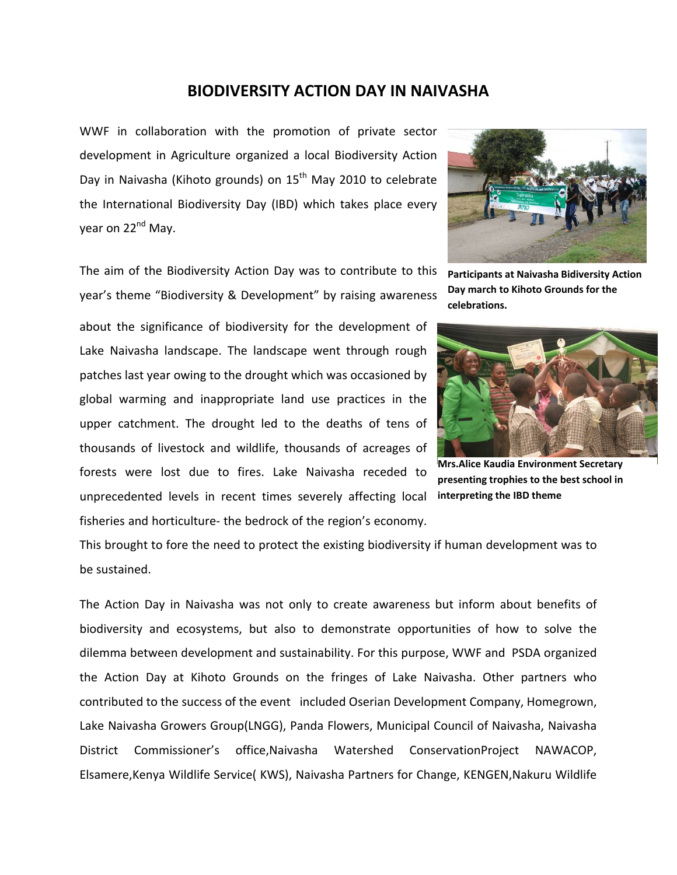## **BIODIVERSITY ACTION DAY IN NAIVASHA**

WWF in collaboration with the promotion of private sector development in Agriculture organized a local Biodiversity Action Day in Naivasha (Kihoto grounds) on  $15<sup>th</sup>$  May 2010 to celebrate the International Biodiversity Day (IBD) which takes place every year on 22<sup>nd</sup> May.

The aim of the Biodiversity Action Day was to contribute to this year's theme "Biodiversity & Development" by raising awareness

about the significance of biodiversity for the development of Lake Naivasha landscape. The landscape went through rough patches last year owing to the drought which was occasioned by global warming and inappropriate land use practices in the upper catchment. The drought led to the deaths of tens of thousands of livestock and wildlife, thousands of acreages of forests were lost due to fires. Lake Naivasha receded to unprecedented levels in recent times severely affecting local fisheries and horticulture- the bedrock of the region's economy.



**Participants at Naivasha Bidiversity Action Day march to Kihoto Grounds for the celebrations.**



**Mrs.Alice Kaudia Environment Secretary presenting trophies to the best school in interpreting the IBD theme**

This brought to fore the need to protect the existing biodiversity if human development was to be sustained.

The Action Day in Naivasha was not only to create awareness but inform about benefits of biodiversity and ecosystems, but also to demonstrate opportunities of how to solve the dilemma between development and sustainability. For this purpose, WWF and PSDA organized the Action Day at Kihoto Grounds on the fringes of Lake Naivasha. Other partners who contributed to the success of the event included Oserian Development Company, Homegrown, Lake Naivasha Growers Group(LNGG), Panda Flowers, Municipal Council of Naivasha, Naivasha District Commissioner's office,Naivasha Watershed ConservationProject NAWACOP, Elsamere,Kenya Wildlife Service( KWS), Naivasha Partners for Change, KENGEN,Nakuru Wildlife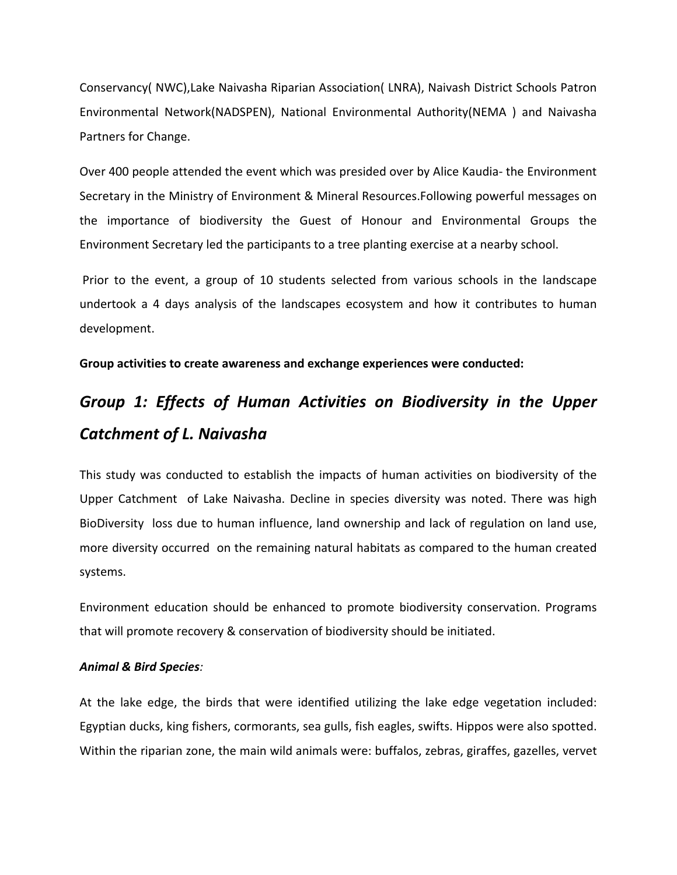Conservancy( NWC),Lake Naivasha Riparian Association( LNRA), Naivash District Schools Patron Environmental Network(NADSPEN), National Environmental Authority(NEMA ) and Naivasha Partners for Change.

Over 400 people attended the event which was presided over by Alice Kaudia‐ the Environment Secretary in the Ministry of Environment & Mineral Resources.Following powerful messages on the importance of biodiversity the Guest of Honour and Environmental Groups the Environment Secretary led the participants to a tree planting exercise at a nearby school.

Prior to the event, a group of 10 students selected from various schools in the landscape undertook a 4 days analysis of the landscapes ecosystem and how it contributes to human development.

**Group activities to create awareness and exchange experiences were conducted:**

# *Group 1: Effects of Human Activities on Biodiversity in the Upper Catchment of L. Naivasha*

This study was conducted to establish the impacts of human activities on biodiversity of the Upper Catchment of Lake Naivasha. Decline in species diversity was noted. There was high BioDiversity loss due to human influence, land ownership and lack of regulation on land use, more diversity occurred on the remaining natural habitats as compared to the human created systems.

Environment education should be enhanced to promote biodiversity conservation. Programs that will promote recovery & conservation of biodiversity should be initiated.

#### *Animal & Bird Species:*

At the lake edge, the birds that were identified utilizing the lake edge vegetation included: Egyptian ducks, king fishers, cormorants, sea gulls, fish eagles, swifts. Hippos were also spotted. Within the riparian zone, the main wild animals were: buffalos, zebras, giraffes, gazelles, vervet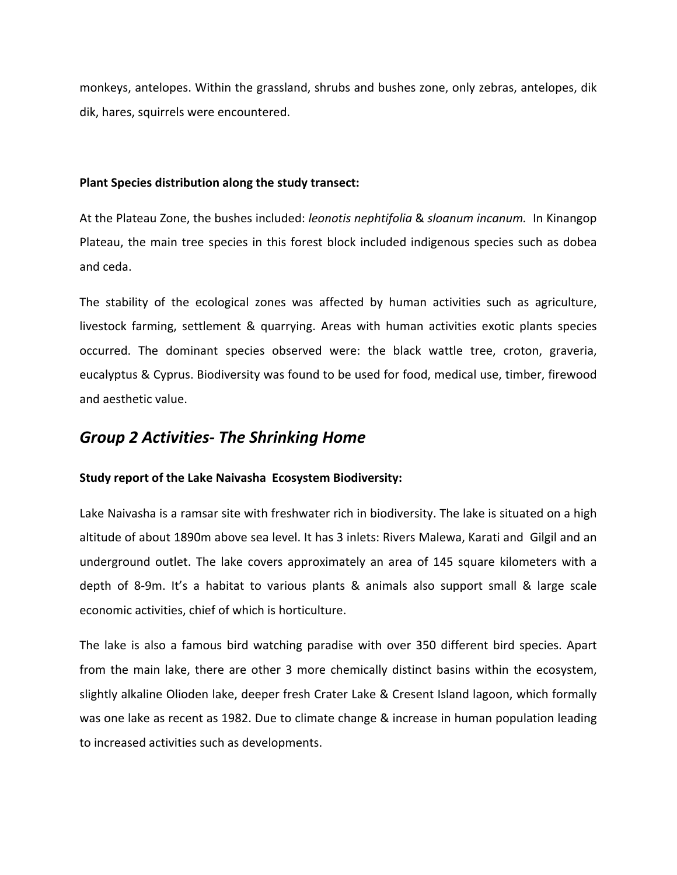monkeys, antelopes. Within the grassland, shrubs and bushes zone, only zebras, antelopes, dik dik, hares, squirrels were encountered.

#### **Plant Species distribution along the study transect:**

At the Plateau Zone, the bushes included: *leonotis nephtifolia* & *sloanum incanum.* In Kinangop Plateau, the main tree species in this forest block included indigenous species such as dobea and ceda.

The stability of the ecological zones was affected by human activities such as agriculture, livestock farming, settlement & quarrying. Areas with human activities exotic plants species occurred. The dominant species observed were: the black wattle tree, croton, graveria, eucalyptus & Cyprus. Biodiversity was found to be used for food, medical use, timber, firewood and aesthetic value.

## *Group 2 Activities‐ The Shrinking Home*

#### **Study report of the Lake Naivasha Ecosystem Biodiversity:**

Lake Naivasha is a ramsar site with freshwater rich in biodiversity. The lake is situated on a high altitude of about 1890m above sea level. It has 3 inlets: Rivers Malewa, Karati and Gilgil and an underground outlet. The lake covers approximately an area of 145 square kilometers with a depth of 8‐9m. It's a habitat to various plants & animals also support small & large scale economic activities, chief of which is horticulture.

The lake is also a famous bird watching paradise with over 350 different bird species. Apart from the main lake, there are other 3 more chemically distinct basins within the ecosystem, slightly alkaline Olioden lake, deeper fresh Crater Lake & Cresent Island lagoon, which formally was one lake as recent as 1982. Due to climate change & increase in human population leading to increased activities such as developments.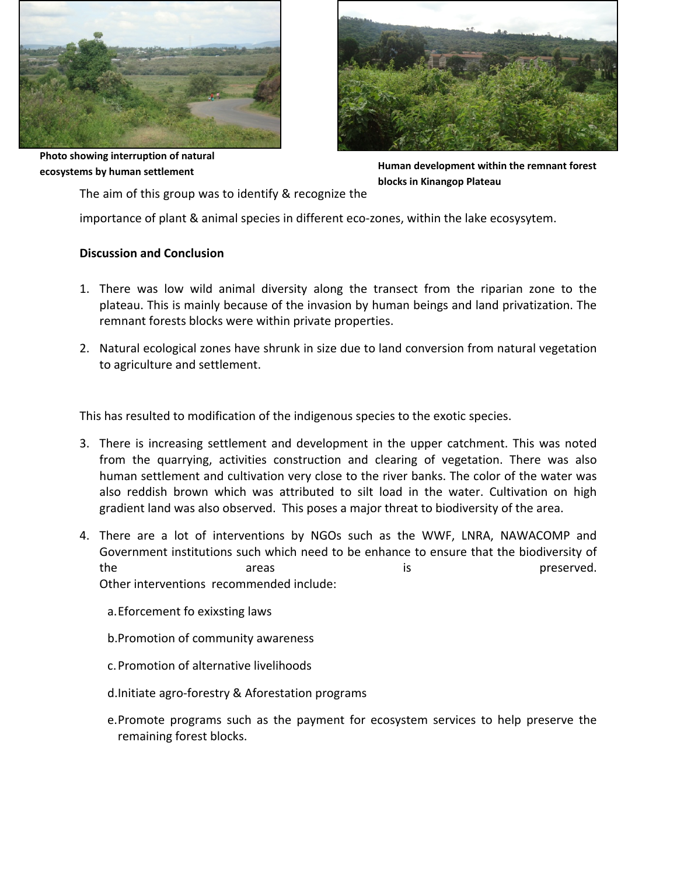

**Photo showing interruption of natural ecosystems by human settlement**

**Human development within the remnant forest blocks in Kinangop Plateau**

The aim of this group was to identify & recognize the

importance of plant & animal species in different eco-zones, within the lake ecosysytem.

## **Discussion and Conclusion**

- 1. There was low wild animal diversity along the transect from the riparian zone to the plateau. This is mainly because of the invasion by human beings and land privatization. The remnant forests blocks were within private properties.
- 2. Natural ecological zones have shrunk in size due to land conversion from natural vegetation to agriculture and settlement.

This has resulted to modification of the indigenous species to the exotic species.

- 3. There is increasing settlement and development in the upper catchment. This was noted from the quarrying, activities construction and clearing of vegetation. There was also human settlement and cultivation very close to the river banks. The color of the water was also reddish brown which was attributed to silt load in the water. Cultivation on high gradient land was also observed. This poses a major threat to biodiversity of the area.
- 4. There are a lot of interventions by NGOs such as the WWF, LNRA, NAWACOMP and Government institutions such which need to be enhance to ensure that the biodiversity of the areas areas is the preserved. Other interventions recommended include:
	- a.Eforcement fo exixsting laws
	- b.Promotion of community awareness
	- c.Promotion of alternative livelihoods
	- d.Initiate agro‐forestry & Aforestation programs
	- e.Promote programs such as the payment for ecosystem services to help preserve the remaining forest blocks.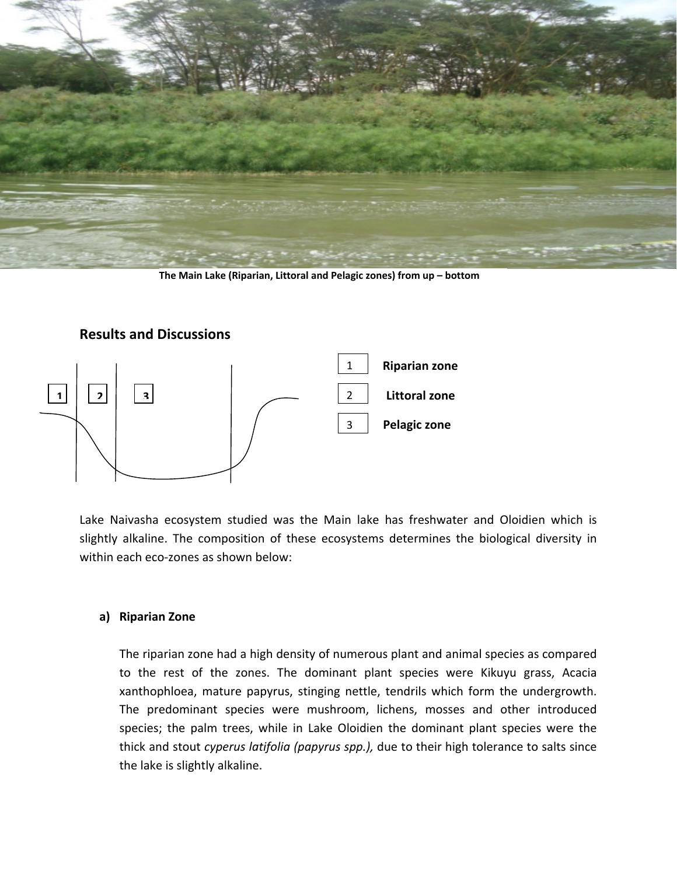

**The Main Lake (Riparian, Littoral and Pelagic zones) from up – bottom**



Lake Naivasha ecosystem studied was the Main lake has freshwater and Oloidien which is slightly alkaline. The composition of these ecosystems determines the biological diversity in within each eco-zones as shown below:

#### **a) Riparian Zone**

The riparian zone had a high density of numerous plant and animal species as compared to the rest of the zones. The dominant plant species were Kikuyu grass, Acacia xanthophloea, mature papyrus, stinging nettle, tendrils which form the undergrowth. The predominant species were mushroom, lichens, mosses and other introduced species; the palm trees, while in Lake Oloidien the dominant plant species were the thick and stout *cyperus latifolia (papyrus spp.),* due to their high tolerance to salts since the lake is slightly alkaline.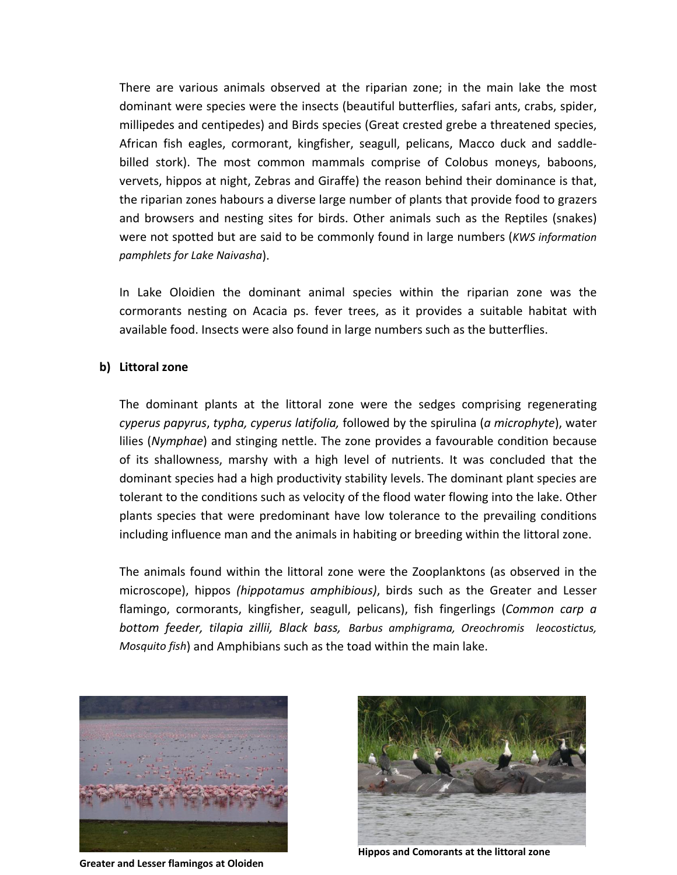There are various animals observed at the riparian zone; in the main lake the most dominant were species were the insects (beautiful butterflies, safari ants, crabs, spider, millipedes and centipedes) and Birds species (Great crested grebe a threatened species, African fish eagles, cormorant, kingfisher, seagull, pelicans, Macco duck and saddle‐ billed stork). The most common mammals comprise of Colobus moneys, baboons, vervets, hippos at night, Zebras and Giraffe) the reason behind their dominance is that, the riparian zones habours a diverse large number of plants that provide food to grazers and browsers and nesting sites for birds. Other animals such as the Reptiles (snakes) were not spotted but are said to be commonly found in large numbers (*KWS information pamphlets for Lake Naivasha*).

In Lake Oloidien the dominant animal species within the riparian zone was the cormorants nesting on Acacia ps. fever trees, as it provides a suitable habitat with available food. Insects were also found in large numbers such as the butterflies.

#### **b) Littoral zone**

The dominant plants at the littoral zone were the sedges comprising regenerating *cyperus papyrus*, *typha, cyperus latifolia,* followed by the spirulina (*a microphyte*), water lilies (*Nymphae*) and stinging nettle. The zone provides a favourable condition because of its shallowness, marshy with a high level of nutrients. It was concluded that the dominant species had a high productivity stability levels. The dominant plant species are tolerant to the conditions such as velocity of the flood water flowing into the lake. Other plants species that were predominant have low tolerance to the prevailing conditions including influence man and the animals in habiting or breeding within the littoral zone.

The animals found within the littoral zone were the Zooplanktons (as observed in the microscope), hippos *(hippotamus amphibious)*, birds such as the Greater and Lesser flamingo, cormorants, kingfisher, seagull, pelicans), fish fingerlings (*Common carp a bottom feeder, tilapia zillii, Black bass, Barbus amphigrama, Oreochromis leocostictus, Mosquito fish*) and Amphibians such as the toad within the main lake.



**Greater and Lesser flamingos at Oloiden**



**Hippos and Comorants at the littoral zone**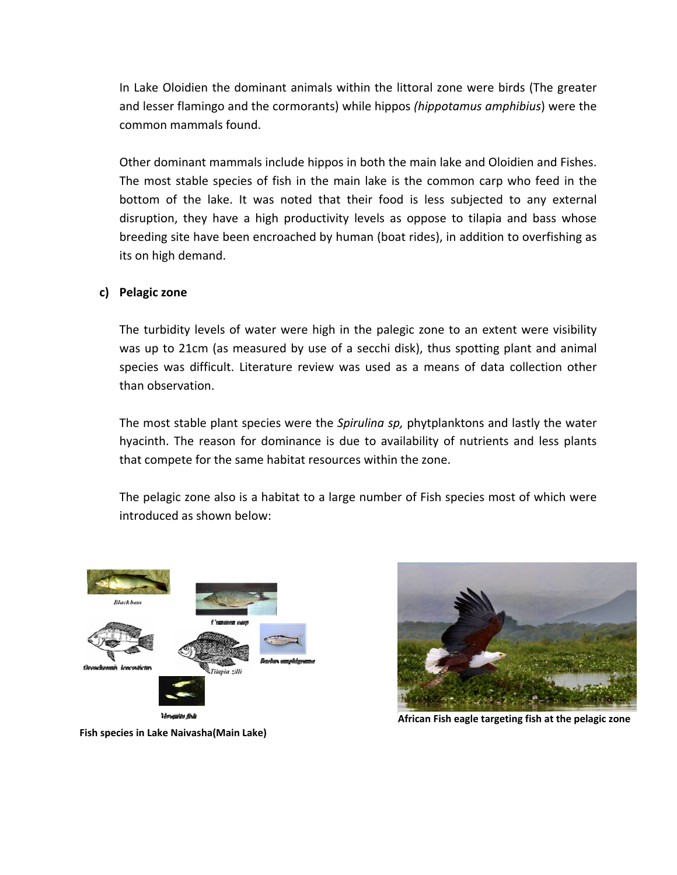In Lake Oloidien the dominant animals within the littoral zone were birds (The greater and lesser flamingo and the cormorants) while hippos *(hippotamus amphibius*) were the common mammals found.

Other dominant mammals include hippos in both the main lake and Oloidien and Fishes. The most stable species of fish in the main lake is the common carp who feed in the bottom of the lake. It was noted that their food is less subjected to any external disruption, they have a high productivity levels as oppose to tilapia and bass whose breeding site have been encroached by human (boat rides), in addition to overfishing as its on high demand.

## **c) Pelagic zone**

The turbidity levels of water were high in the palegic zone to an extent were visibility was up to 21cm (as measured by use of a secchi disk), thus spotting plant and animal species was difficult. Literature review was used as a means of data collection other than observation.

The most stable plant species were the *Spirulina sp,* phytplanktons and lastly the water hyacinth. The reason for dominance is due to availability of nutrients and less plants that compete for the same habitat resources within the zone.

The pelagic zone also is a habitat to a large number of Fish species most of which were introduced as shown below:





**African Fish eagle targeting fish at the pelagic zone**

**Fish species in Lake Naivasha(Main Lake)**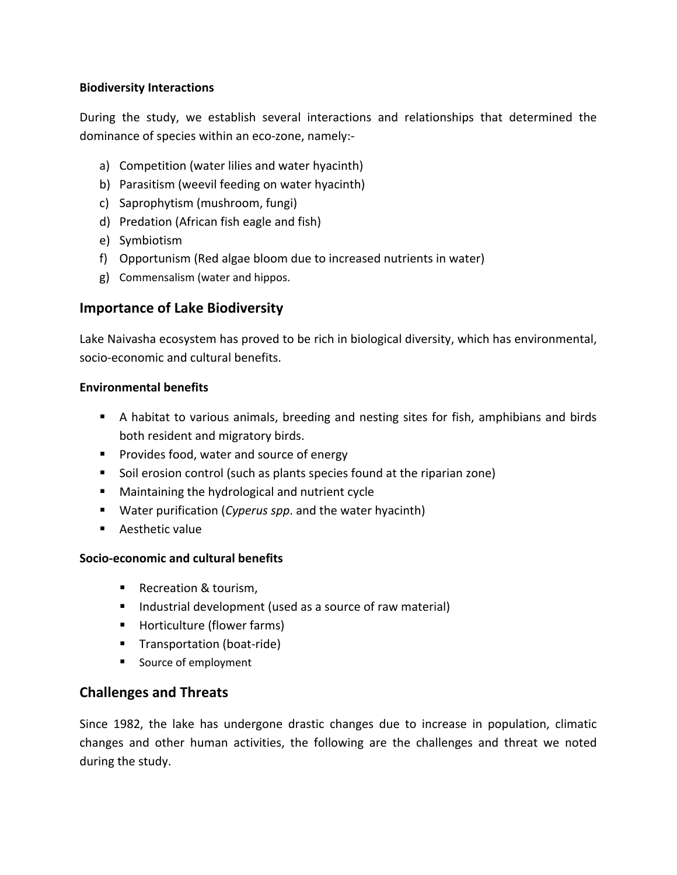## **Biodiversity Interactions**

During the study, we establish several interactions and relationships that determined the dominance of species within an eco‐zone, namely:‐

- a) Competition (water lilies and water hyacinth)
- b) Parasitism (weevil feeding on water hyacinth)
- c) Saprophytism (mushroom, fungi)
- d) Predation (African fish eagle and fish)
- e) Symbiotism
- f) Opportunism (Red algae bloom due to increased nutrients in water)
- g) Commensalism (water and hippos.

# **Importance of Lake Biodiversity**

Lake Naivasha ecosystem has proved to be rich in biological diversity, which has environmental, socio‐economic and cultural benefits.

## **Environmental benefits**

- A habitat to various animals, breeding and nesting sites for fish, amphibians and birds both resident and migratory birds.
- **Provides food, water and source of energy**
- Soil erosion control (such as plants species found at the riparian zone)
- **Maintaining the hydrological and nutrient cycle**
- Water purification (*Cyperus spp*. and the water hyacinth)
- **Aesthetic value**

## **Socio‐economic and cultural benefits**

- Recreation & tourism,
- Industrial development (used as a source of raw material)
- **Horticulture (flower farms)**
- Transportation (boat-ride)
- **Source of employment**

# **Challenges and Threats**

Since 1982, the lake has undergone drastic changes due to increase in population, climatic changes and other human activities, the following are the challenges and threat we noted during the study.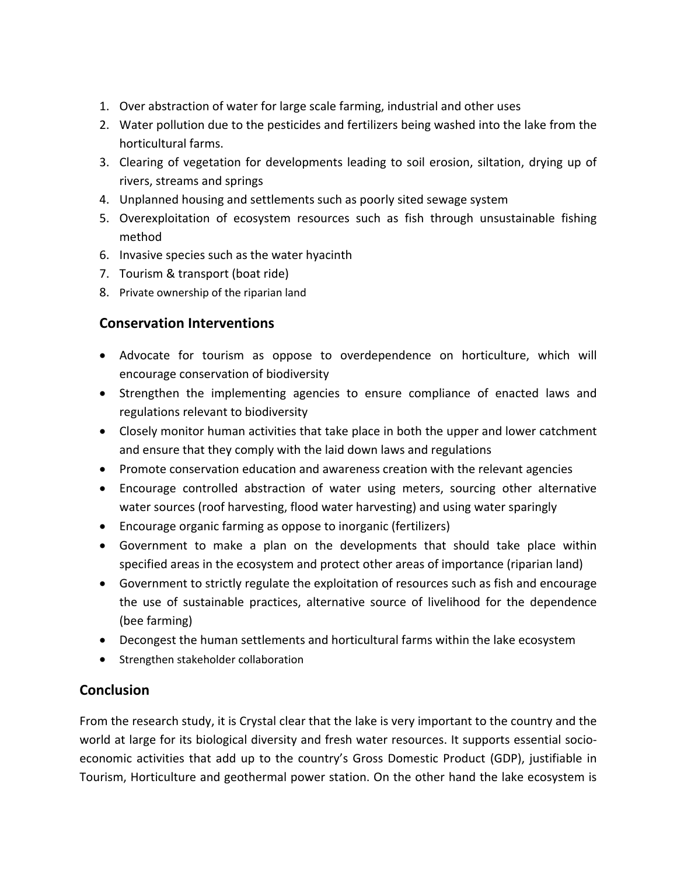- 1. Over abstraction of water for large scale farming, industrial and other uses
- 2. Water pollution due to the pesticides and fertilizers being washed into the lake from the horticultural farms.
- 3. Clearing of vegetation for developments leading to soil erosion, siltation, drying up of rivers, streams and springs
- 4. Unplanned housing and settlements such as poorly sited sewage system
- 5. Overexploitation of ecosystem resources such as fish through unsustainable fishing method
- 6. Invasive species such as the water hyacinth
- 7. Tourism & transport (boat ride)
- 8. Private ownership of the riparian land

# **Conservation Interventions**

- Advocate for tourism as oppose to overdependence on horticulture, which will encourage conservation of biodiversity
- Strengthen the implementing agencies to ensure compliance of enacted laws and regulations relevant to biodiversity
- Closely monitor human activities that take place in both the upper and lower catchment and ensure that they comply with the laid down laws and regulations
- Promote conservation education and awareness creation with the relevant agencies
- Encourage controlled abstraction of water using meters, sourcing other alternative water sources (roof harvesting, flood water harvesting) and using water sparingly
- Encourage organic farming as oppose to inorganic (fertilizers)
- Government to make a plan on the developments that should take place within specified areas in the ecosystem and protect other areas of importance (riparian land)
- Government to strictly regulate the exploitation of resources such as fish and encourage the use of sustainable practices, alternative source of livelihood for the dependence (bee farming)
- Decongest the human settlements and horticultural farms within the lake ecosystem
- Strengthen stakeholder collaboration

# **Conclusion**

From the research study, it is Crystal clear that the lake is very important to the country and the world at large for its biological diversity and fresh water resources. It supports essential socioeconomic activities that add up to the country's Gross Domestic Product (GDP), justifiable in Tourism, Horticulture and geothermal power station. On the other hand the lake ecosystem is